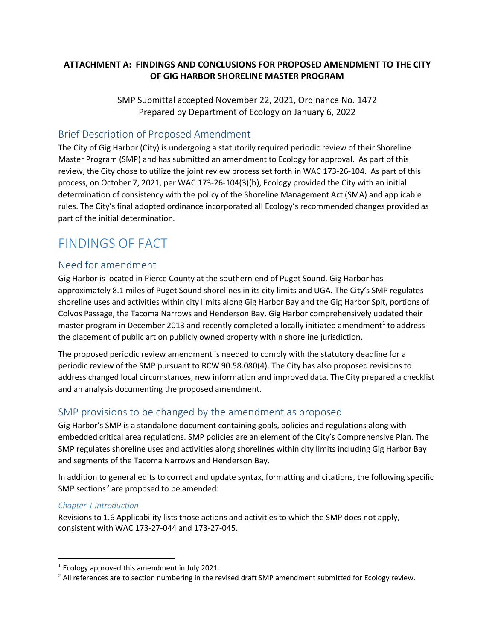## **ATTACHMENT A: FINDINGS AND CONCLUSIONS FOR PROPOSED AMENDMENT TO THE CITY OF GIG HARBOR SHORELINE MASTER PROGRAM**

SMP Submittal accepted November 22, 2021, Ordinance No. 1472 Prepared by Department of Ecology on January 6, 2022

## Brief Description of Proposed Amendment

The City of Gig Harbor (City) is undergoing a statutorily required periodic review of their Shoreline Master Program (SMP) and has submitted an amendment to Ecology for approval. As part of this review, the City chose to utilize the joint review process set forth in WAC 173-26-104. As part of this process, on October 7, 2021, per WAC 173-26-104(3)(b), Ecology provided the City with an initial determination of consistency with the policy of the Shoreline Management Act (SMA) and applicable rules. The City's final adopted ordinance incorporated all Ecology's recommended changes provided as part of the initial determination.

# FINDINGS OF FACT

## Need for amendment

Gig Harbor is located in Pierce County at the southern end of Puget Sound. Gig Harbor has approximately 8.1 miles of Puget Sound shorelines in its city limits and UGA. The City's SMP regulates shoreline uses and activities within city limits along Gig Harbor Bay and the Gig Harbor Spit, portions of Colvos Passage, the Tacoma Narrows and Henderson Bay. Gig Harbor comprehensively updated their master program in December 20[1](#page-0-0)3 and recently completed a locally initiated amendment<sup>1</sup> to address the placement of public art on publicly owned property within shoreline jurisdiction.

The proposed periodic review amendment is needed to comply with the statutory deadline for a periodic review of the SMP pursuant to RCW 90.58.080(4). The City has also proposed revisions to address changed local circumstances, new information and improved data. The City prepared a checklist and an analysis documenting the proposed amendment.

## SMP provisions to be changed by the amendment as proposed

Gig Harbor's SMP is a standalone document containing goals, policies and regulations along with embedded critical area regulations. SMP policies are an element of the City's Comprehensive Plan. The SMP regulates shoreline uses and activities along shorelines within city limits including Gig Harbor Bay and segments of the Tacoma Narrows and Henderson Bay.

In addition to general edits to correct and update syntax, formatting and citations, the following specific SMP sections<sup>[2](#page-0-1)</sup> are proposed to be amended:

## *Chapter 1 Introduction*

Revisions to 1.6 Applicability lists those actions and activities to which the SMP does not apply, consistent with WAC 173-27-044 and 173-27-045.

<span id="page-0-0"></span> $1$  Ecology approved this amendment in July 2021.

<span id="page-0-1"></span> $<sup>2</sup>$  All references are to section numbering in the revised draft SMP amendment submitted for Ecology review.</sup>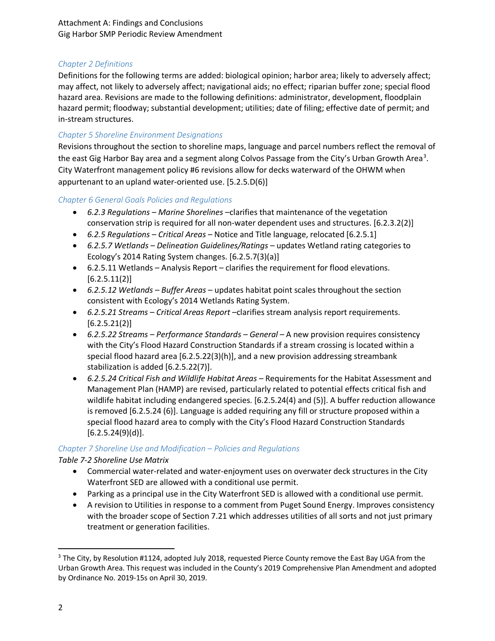Attachment A: Findings and Conclusions Gig Harbor SMP Periodic Review Amendment

### *Chapter 2 Definitions*

Definitions for the following terms are added: biological opinion; harbor area; likely to adversely affect; may affect, not likely to adversely affect; navigational aids; no effect; riparian buffer zone; special flood hazard area. Revisions are made to the following definitions: administrator, development, floodplain hazard permit; floodway; substantial development; utilities; date of filing; effective date of permit; and in-stream structures.

#### *Chapter 5 Shoreline Environment Designations*

Revisions throughout the section to shoreline maps, language and parcel numbers reflect the removal of the east Gig Harbor Bay area and a segment along Colvos Passage from the City's Urban Growth Area<sup>[3](#page-1-0)</sup>. City Waterfront management policy #6 revisions allow for decks waterward of the OHWM when appurtenant to an upland water-oriented use. [5.2.5.D(6)]

#### *Chapter 6 General Goals Policies and Regulations*

- *6.2.3 Regulations – Marine Shorelines* –clarifies that maintenance of the vegetation conservation strip is required for all non-water dependent uses and structures. [6.2.3.2(2)]
- *6.2.5 Regulations – Critical Areas* Notice and Title language, relocated [6.2.5.1]
- *6.2.5.7 Wetlands – Delineation Guidelines/Ratings –* updates Wetland rating categories to Ecology's 2014 Rating System changes. [6.2.5.7(3)(a)]
- 6.2.5.11 Wetlands Analysis Report clarifies the requirement for flood elevations.  $[6.2.5.11(2)]$
- *6.2.5.12 Wetlands – Buffer Areas* updates habitat point scales throughout the section consistent with Ecology's 2014 Wetlands Rating System.
- *6.2.5.21 Streams – Critical Areas Report* –clarifies stream analysis report requirements.  $[6.2.5.21(2)]$
- *6.2.5.22 Streams – Performance Standards – General* A new provision requires consistency with the City's Flood Hazard Construction Standards if a stream crossing is located within a special flood hazard area [6.2.5.22(3)(h)], and a new provision addressing streambank stabilization is added [6.2.5.22(7)].
- *6.2.5.24 Critical Fish and Wildlife Habitat Areas –* Requirements for the Habitat Assessment and Management Plan (HAMP) are revised, particularly related to potential effects critical fish and wildlife habitat including endangered species. [6.2.5.24(4) and (5)]. A buffer reduction allowance is removed [6.2.5.24 (6)]. Language is added requiring any fill or structure proposed within a special flood hazard area to comply with the City's Flood Hazard Construction Standards  $[6.2.5.24(9)(d)].$

## *Chapter 7 Shoreline Use and Modification – Policies and Regulations*

## *Table 7-2 Shoreline Use Matrix*

- Commercial water-related and water-enjoyment uses on overwater deck structures in the City Waterfront SED are allowed with a conditional use permit.
- Parking as a principal use in the City Waterfront SED is allowed with a conditional use permit.
- A revision to Utilities in response to a comment from Puget Sound Energy. Improves consistency with the broader scope of Section 7.21 which addresses utilities of all sorts and not just primary treatment or generation facilities.

<span id="page-1-0"></span><sup>&</sup>lt;sup>3</sup> The City, by Resolution #1124, adopted July 2018, requested Pierce County remove the East Bay UGA from the Urban Growth Area. This request was included in the County's 2019 Comprehensive Plan Amendment and adopted by Ordinance No. 2019-15s on April 30, 2019.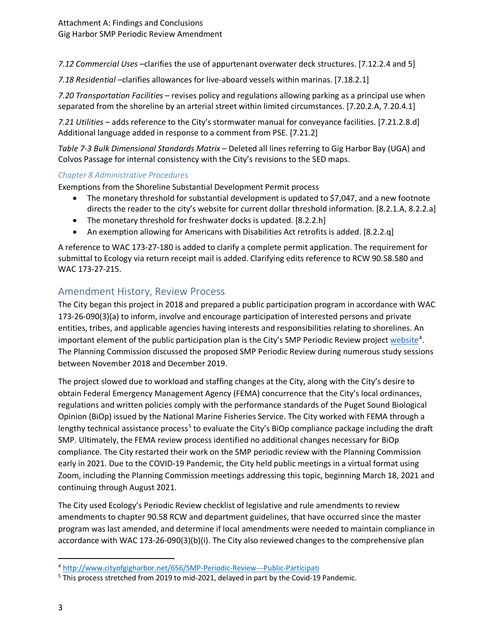*7.12 Commercial Uses* –clarifies the use of appurtenant overwater deck structures. [7.12.2.4 and 5]

*7.18 Residential* –clarifies allowances for live-aboard vessels within marinas. [7.18.2.1]

*7.20 Transportation Facilities* – revises policy and regulations allowing parking as a principal use when separated from the shoreline by an arterial street within limited circumstances. [7.20.2.A, 7.20.4.1]

*7.21 Utilities* – adds reference to the City's stormwater manual for conveyance facilities. [7.21.2.8.d] Additional language added in response to a comment from PSE. [7.21.2]

*Table 7-3 Bulk Dimensional Standards Matrix –* Deleted all lines referring to Gig Harbor Bay (UGA) and Colvos Passage for internal consistency with the City's revisions to the SED maps.

#### *Chapter 8 Administrative Procedures*

Exemptions from the Shoreline Substantial Development Permit process

- The monetary threshold for substantial development is updated to \$7,047, and a new footnote directs the reader to the city's website for current dollar threshold information. [8.2.1.A, 8.2.2.a]
- The monetary threshold for freshwater docks is updated. [8.2.2.h]
- An exemption allowing for Americans with Disabilities Act retrofits is added. [8.2.2.q]

A reference to WAC 173-27-180 is added to clarify a complete permit application. The requirement for submittal to Ecology via return receipt mail is added. Clarifying edits reference to RCW 90.58.580 and WAC 173-27-215.

## Amendment History, Review Process

The City began this project in 2018 and prepared a public participation program in accordance with WAC 173-26-090(3)(a) to inform, involve and encourage participation of interested persons and private entities, tribes, and applicable agencies having interests and responsibilities relating to shorelines. An important element of the public participation plan is the City's SMP Periodic Review project [website](http://www.cityofgigharbor.net/656/SMP-Periodic-Review---Public-Participati)<sup>[4](#page-2-0)</sup>. The Planning Commission discussed the proposed SMP Periodic Review during numerous study sessions between November 2018 and December 2019.

The project slowed due to workload and staffing changes at the City, along with the City's desire to obtain Federal Emergency Management Agency (FEMA) concurrence that the City's local ordinances, regulations and written policies comply with the performance standards of the Puget Sound Biological Opinion (BiOp) issued by the National Marine Fisheries Service. The City worked with FEMA through a lengthy technical assistance process<sup>[5](#page-2-1)</sup> to evaluate the City's BiOp compliance package including the draft SMP. Ultimately, the FEMA review process identified no additional changes necessary for BiOp compliance. The City restarted their work on the SMP periodic review with the Planning Commission early in 2021. Due to the COVID-19 Pandemic, the City held public meetings in a virtual format using Zoom, including the Planning Commission meetings addressing this topic, beginning March 18, 2021 and continuing through August 2021.

The City used Ecology's Periodic Review checklist of legislative and rule amendments to review amendments to chapter 90.58 RCW and department guidelines, that have occurred since the master program was last amended, and determine if local amendments were needed to maintain compliance in accordance with WAC 173-26-090(3)(b)(i). The City also reviewed changes to the comprehensive plan

<span id="page-2-0"></span> <sup>4</sup> <http://www.cityofgigharbor.net/656/SMP-Periodic-Review---Public-Participati>

<span id="page-2-1"></span><sup>&</sup>lt;sup>5</sup> This process stretched from 2019 to mid-2021, delayed in part by the Covid-19 Pandemic.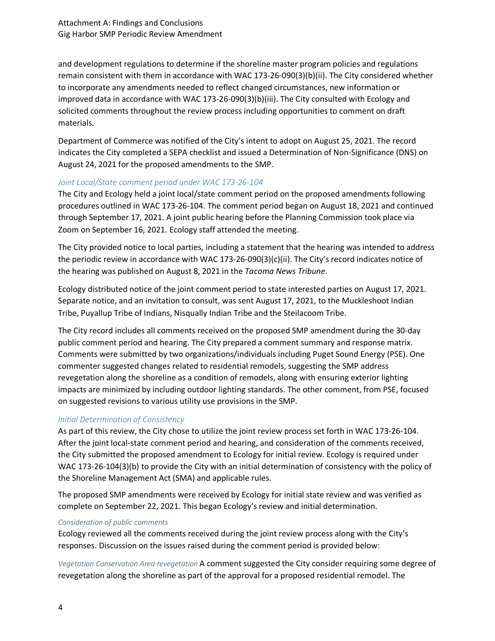and development regulations to determine if the shoreline master program policies and regulations remain consistent with them in accordance with WAC 173-26-090(3)(b)(ii). The City considered whether to incorporate any amendments needed to reflect changed circumstances, new information or improved data in accordance with WAC 173-26-090(3)(b)(iii). The City consulted with Ecology and solicited comments throughout the review process including opportunities to comment on draft materials.

Department of Commerce was notified of the City's intent to adopt on August 25, 2021. The record indicates the City completed a SEPA checklist and issued a Determination of Non-Significance (DNS) on August 24, 2021 for the proposed amendments to the SMP.

#### *Joint Local/State comment period under WAC 173-26-104*

The City and Ecology held a joint local/state comment period on the proposed amendments following procedures outlined in WAC 173-26-104. The comment period began on August 18, 2021 and continued through September 17, 2021. A joint public hearing before the Planning Commission took place via Zoom on September 16, 2021. Ecology staff attended the meeting.

The City provided notice to local parties, including a statement that the hearing was intended to address the periodic review in accordance with WAC 173-26-090(3)(c)(ii). The City's record indicates notice of the hearing was published on August 8, 2021 in the *Tacoma News Tribune*.

Ecology distributed notice of the joint comment period to state interested parties on August 17, 2021. Separate notice, and an invitation to consult, was sent August 17, 2021, to the Muckleshoot Indian Tribe, Puyallup Tribe of Indians, Nisqually Indian Tribe and the Steilacoom Tribe.

The City record includes all comments received on the proposed SMP amendment during the 30-day public comment period and hearing. The City prepared a comment summary and response matrix. Comments were submitted by two organizations/individuals including Puget Sound Energy (PSE). One commenter suggested changes related to residential remodels, suggesting the SMP address revegetation along the shoreline as a condition of remodels, along with ensuring exterior lighting impacts are minimized by including outdoor lighting standards. The other comment, from PSE, focused on suggested revisions to various utility use provisions in the SMP.

## *Initial Determination of Consistency*

As part of this review, the City chose to utilize the joint review process set forth in WAC 173-26-104. After the joint local-state comment period and hearing, and consideration of the comments received, the City submitted the proposed amendment to Ecology for initial review. Ecology is required under WAC 173-26-104(3)(b) to provide the City with an initial determination of consistency with the policy of the Shoreline Management Act (SMA) and applicable rules.

The proposed SMP amendments were received by Ecology for initial state review and was verified as complete on September 22, 2021. This began Ecology's review and initial determination.

#### *Consideration of public comments*

Ecology reviewed all the comments received during the joint review process along with the City's responses. Discussion on the issues raised during the comment period is provided below:

*Vegetation Conservation Area revegetation* A comment suggested the City consider requiring some degree of revegetation along the shoreline as part of the approval for a proposed residential remodel. The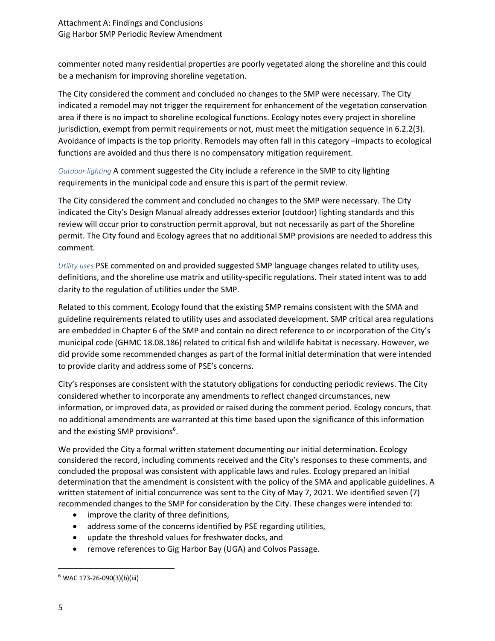commenter noted many residential properties are poorly vegetated along the shoreline and this could be a mechanism for improving shoreline vegetation.

The City considered the comment and concluded no changes to the SMP were necessary. The City indicated a remodel may not trigger the requirement for enhancement of the vegetation conservation area if there is no impact to shoreline ecological functions. Ecology notes every project in shoreline jurisdiction, exempt from permit requirements or not, must meet the mitigation sequence in 6.2.2(3). Avoidance of impacts is the top priority. Remodels may often fall in this category –impacts to ecological functions are avoided and thus there is no compensatory mitigation requirement.

*Outdoor lighting* A comment suggested the City include a reference in the SMP to city lighting requirements in the municipal code and ensure this is part of the permit review.

The City considered the comment and concluded no changes to the SMP were necessary. The City indicated the City's Design Manual already addresses exterior (outdoor) lighting standards and this review will occur prior to construction permit approval, but not necessarily as part of the Shoreline permit. The City found and Ecology agrees that no additional SMP provisions are needed to address this comment.

*Utility uses* PSE commented on and provided suggested SMP language changes related to utility uses, definitions, and the shoreline use matrix and utility-specific regulations. Their stated intent was to add clarity to the regulation of utilities under the SMP.

Related to this comment, Ecology found that the existing SMP remains consistent with the SMA and guideline requirements related to utility uses and associated development. SMP critical area regulations are embedded in Chapter 6 of the SMP and contain no direct reference to or incorporation of the City's municipal code (GHMC 18.08.186) related to critical fish and wildlife habitat is necessary. However, we did provide some recommended changes as part of the formal initial determination that were intended to provide clarity and address some of PSE's concerns.

City's responses are consistent with the statutory obligations for conducting periodic reviews. The City considered whether to incorporate any amendments to reflect changed circumstances, new information, or improved data, as provided or raised during the comment period. Ecology concurs, that no additional amendments are warranted at this time based upon the significance of this information and the existing SMP provisions<sup>[6](#page-4-0)</sup>.

We provided the City a formal written statement documenting our initial determination. Ecology considered the record, including comments received and the City's responses to these comments, and concluded the proposal was consistent with applicable laws and rules. Ecology prepared an initial determination that the amendment is consistent with the policy of the SMA and applicable guidelines. A written statement of initial concurrence was sent to the City of May 7, 2021. We identified seven (7) recommended changes to the SMP for consideration by the City. These changes were intended to:

- improve the clarity of three definitions,
- address some of the concerns identified by PSE regarding utilities,
- update the threshold values for freshwater docks, and
- remove references to Gig Harbor Bay (UGA) and Colvos Passage.

<span id="page-4-0"></span> $6$  WAC 173-26-090(3)(b)(iii)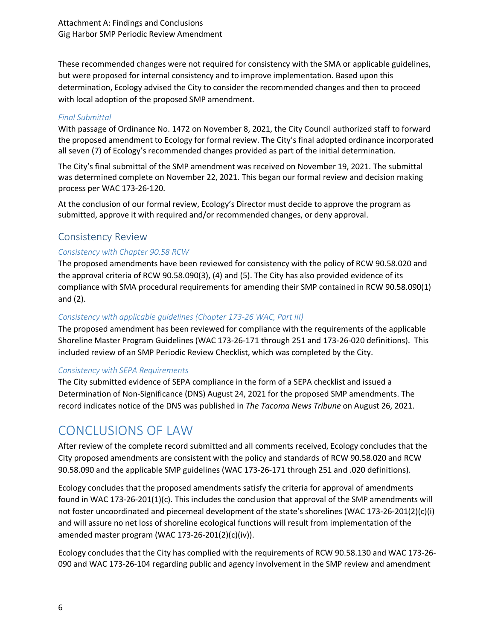These recommended changes were not required for consistency with the SMA or applicable guidelines, but were proposed for internal consistency and to improve implementation. Based upon this determination, Ecology advised the City to consider the recommended changes and then to proceed with local adoption of the proposed SMP amendment.

### *Final Submittal*

With passage of Ordinance No. 1472 on November 8, 2021, the City Council authorized staff to forward the proposed amendment to Ecology for formal review. The City's final adopted ordinance incorporated all seven (7) of Ecology's recommended changes provided as part of the initial determination.

The City's final submittal of the SMP amendment was received on November 19, 2021. The submittal was determined complete on November 22, 2021. This began our formal review and decision making process per WAC 173-26-120.

At the conclusion of our formal review, Ecology's Director must decide to approve the program as submitted, approve it with required and/or recommended changes, or deny approval.

## Consistency Review

## *Consistency with Chapter 90.58 RCW*

The proposed amendments have been reviewed for consistency with the policy of RCW 90.58.020 and the approval criteria of RCW 90.58.090(3), (4) and (5). The City has also provided evidence of its compliance with SMA procedural requirements for amending their SMP contained in RCW 90.58.090(1) and (2).

## *Consistency with applicable guidelines (Chapter 173-26 WAC, Part III)*

The proposed amendment has been reviewed for compliance with the requirements of the applicable Shoreline Master Program Guidelines (WAC 173-26-171 through 251 and 173-26-020 definitions). This included review of an SMP Periodic Review Checklist, which was completed by the City.

## *Consistency with SEPA Requirements*

The City submitted evidence of SEPA compliance in the form of a SEPA checklist and issued a Determination of Non-Significance (DNS) August 24, 2021 for the proposed SMP amendments. The record indicates notice of the DNS was published in *The Tacoma News Tribune* on August 26, 2021.

## CONCLUSIONS OF LAW

After review of the complete record submitted and all comments received, Ecology concludes that the City proposed amendments are consistent with the policy and standards of RCW 90.58.020 and RCW 90.58.090 and the applicable SMP guidelines (WAC 173-26-171 through 251 and .020 definitions).

Ecology concludes that the proposed amendments satisfy the criteria for approval of amendments found in WAC 173-26-201(1)(c). This includes the conclusion that approval of the SMP amendments will not foster uncoordinated and piecemeal development of the state's shorelines (WAC 173-26-201(2)(c)(i) and will assure no net loss of shoreline ecological functions will result from implementation of the amended master program (WAC 173-26-201(2)(c)(iv)).

Ecology concludes that the City has complied with the requirements of RCW 90.58.130 and WAC 173-26- 090 and WAC 173-26-104 regarding public and agency involvement in the SMP review and amendment